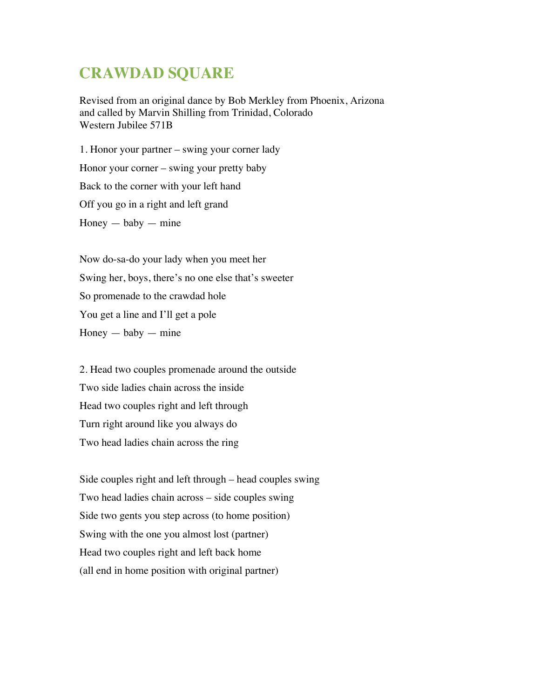## **CRAWDAD SQUARE**

Revised from an original dance by Bob Merkley from Phoenix, Arizona and called by Marvin Shilling from Trinidad, Colorado Western Jubilee 571B

1. Honor your partner – swing your corner lady Honor your corner – swing your pretty baby Back to the corner with your left hand Off you go in a right and left grand  $Honey - baby - mine$ 

Now do-sa-do your lady when you meet her Swing her, boys, there's no one else that's sweeter So promenade to the crawdad hole You get a line and I'll get a pole  $Honey - baby - mine$ 

2. Head two couples promenade around the outside Two side ladies chain across the inside Head two couples right and left through Turn right around like you always do Two head ladies chain across the ring

Side couples right and left through – head couples swing Two head ladies chain across – side couples swing Side two gents you step across (to home position) Swing with the one you almost lost (partner) Head two couples right and left back home (all end in home position with original partner)